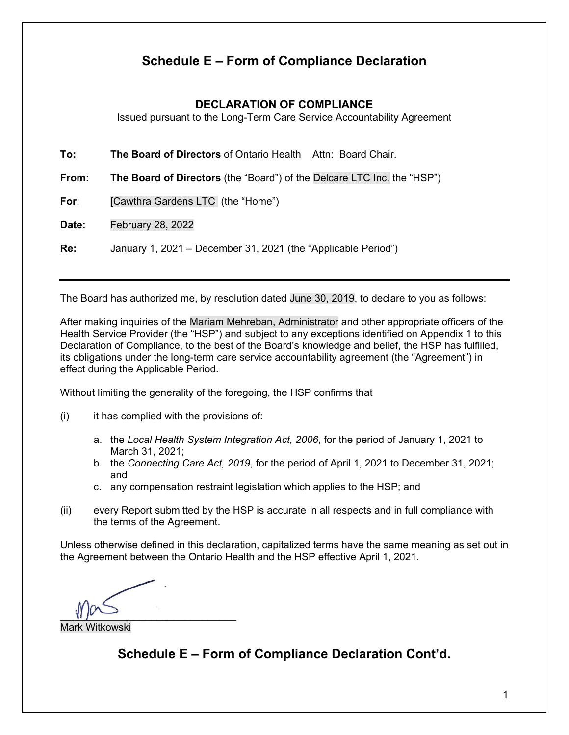# **Schedule E – Form of Compliance Declaration**

## **DECLARATION OF COMPLIANCE**

Issued pursuant to the Long-Term Care Service Accountability Agreement

**To: The Board of Directors** of Ontario Health Attn: Board Chair.

**From: The Board of Directors** (the "Board") of the Delcare LTC Inc. the "HSP")

**For**: [Cawthra Gardens LTC (the "Home")

**Date:** February 28, 2022

**Re:** January 1, 2021 – December 31, 2021 (the "Applicable Period")

The Board has authorized me, by resolution dated June 30, 2019, to declare to you as follows:

After making inquiries of the Mariam Mehreban, Administrator and other appropriate officers of the Health Service Provider (the "HSP") and subject to any exceptions identified on Appendix 1 to this Declaration of Compliance, to the best of the Board's knowledge and belief, the HSP has fulfilled, its obligations under the long-term care service accountability agreement (the "Agreement") in effect during the Applicable Period.

Without limiting the generality of the foregoing, the HSP confirms that

 $(i)$  it has complied with the provisions of:

- a. the *Local Health System Integration Act, 2006*, for the period of January 1, 2021 to March 31, 2021;
- b. the *Connecting Care Act, 2019*, for the period of April 1, 2021 to December 31, 2021; and
- c. any compensation restraint legislation which applies to the HSP; and
- (ii) every Report submitted by the HSP is accurate in all respects and in full compliance with the terms of the Agreement.

Unless otherwise defined in this declaration, capitalized terms have the same meaning as set out in the Agreement between the Ontario Health and the HSP effective April 1, 2021.

 $\mathbb{U}$ Mark Witkowski  $\overline{\phantom{a}}$  , where  $\overline{\phantom{a}}$ 

**Schedule E – Form of Compliance Declaration Cont'd.**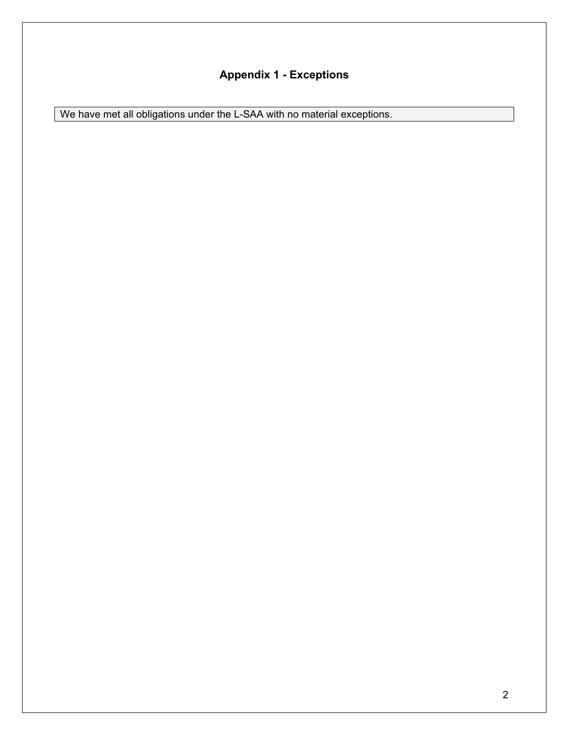# **Appendix 1 - Exceptions**

We have met all obligations under the L-SAA with no material exceptions.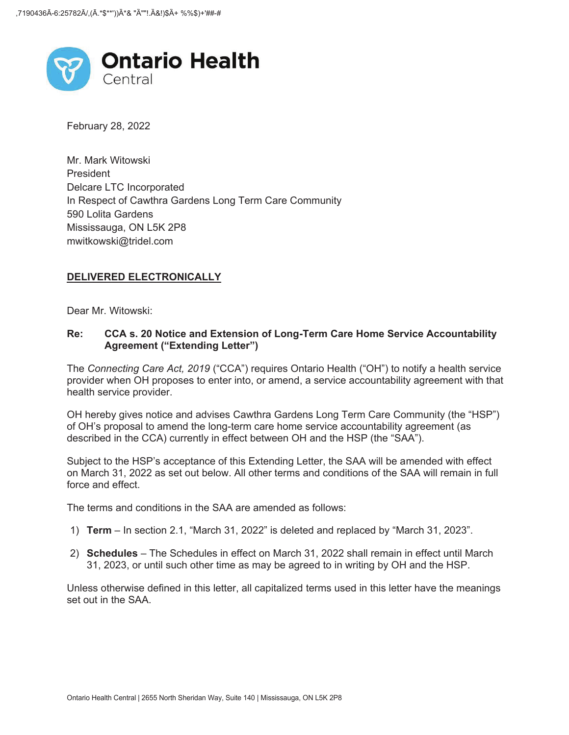

February 28, 2022

Mr. Mark Witowski President Delcare LTC Incorporated In Respect of Cawthra Gardens Long Term Care Community 590 Lolita Gardens Mississauga, ON L5K 2P8 mwitkowski@tridel.com

#### **DELIVERED ELECTRONICALLY**

Dear Mr. Witowski:

#### **Re: CCA s. 20 Notice and Extension of Long-Term Care Home Service Accountability Agreement ("Extending Letter")**

The *Connecting Care Act, 2019* ("CCA") requires Ontario Health ("OH") to notify a health service provider when OH proposes to enter into, or amend, a service accountability agreement with that health service provider.

OH hereby gives notice and advises Cawthra Gardens Long Term Care Community (the "HSP") of OH's proposal to amend the long-term care home service accountability agreement (as described in the CCA) currently in effect between OH and the HSP (the "SAA").

Subject to the HSP's acceptance of this Extending Letter, the SAA will be amended with effect on March 31, 2022 as set out below. All other terms and conditions of the SAA will remain in full force and effect.

The terms and conditions in the SAA are amended as follows:

- 1) **Term** In section 2.1, "March 31, 2022" is deleted and replaced by "March 31, 2023".
- 2) **Schedules** The Schedules in effect on March 31, 2022 shall remain in effect until March 31, 2023, or until such other time as may be agreed to in writing by OH and the HSP.

Unless otherwise defined in this letter, all capitalized terms used in this letter have the meanings set out in the SAA.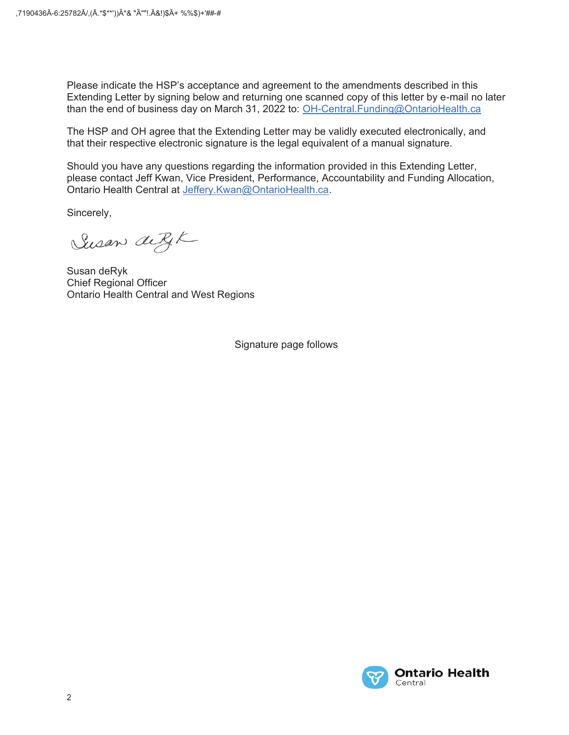Please indicate the HSP's acceptance and agreement to the amendments described in this Extending Letter by signing below and returning one scanned copy of this letter by e-mail no later than the end of business day on March 31, 2022 to: OH-Central.Funding@OntarioHealth.ca

The HSP and OH agree that the Extending Letter may be validly executed electronically, and that their respective electronic signature is the legal equivalent of a manual signature.

Should you have any questions regarding the information provided in this Extending Letter, please contact Jeff Kwan, Vice President, Performance, Accountability and Funding Allocation, Ontario Health Central at Jeffery.Kwan@OntarioHealth.ca.

Sincerely,

Susan de RIK

Susan deRyk **Chief Regional Officer Ontario Health Central and West Regions** 

Signature page follows